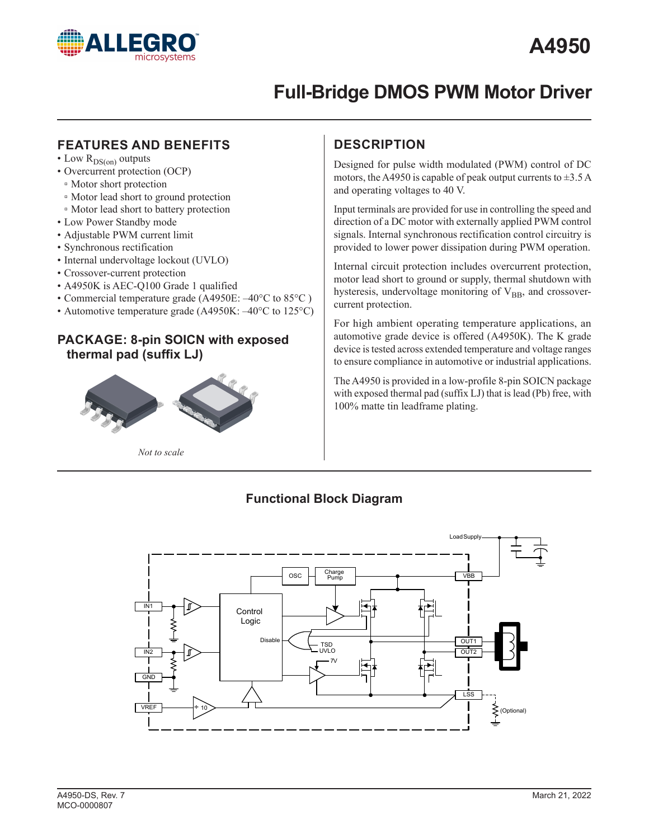

## **FEATURES AND BENEFITS**

- Low  $R_{DS(on)}$  outputs
- Overcurrent protection (OCP)
- Motor short protection
- ▫ Motor lead short to ground protection
- ▫ Motor lead short to battery protection
- Low Power Standby mode
- Adjustable PWM current limit
- Synchronous rectification
- Internal undervoltage lockout (UVLO)
- Crossover-current protection
- A4950K is AEC-Q100 Grade 1 qualified
- Commercial temperature grade (A4950E: –40°C to 85°C )
- Automotive temperature grade (A4950K:  $-40^{\circ}$ C to 125°C)

## **PACKAGE: 8-pin SOICN with exposed thermal pad (suffix LJ)**



*Not to scale*

# **DESCRIPTION**

Designed for pulse width modulated (PWM) control of DC motors, the A4950 is capable of peak output currents to  $\pm$ 3.5 A and operating voltages to 40 V.

Input terminals are provided for use in controlling the speed and direction of a DC motor with externally applied PWM control signals. Internal synchronous rectification control circuitry is provided to lower power dissipation during PWM operation.

Internal circuit protection includes overcurrent protection, motor lead short to ground or supply, thermal shutdown with hysteresis, undervoltage monitoring of  $V_{BB}$ , and crossovercurrent protection.

For high ambient operating temperature applications, an automotive grade device is offered (A4950K). The K grade device is tested across extended temperature and voltage ranges to ensure compliance in automotive or industrial applications.

The A4950 is provided in a low-profile 8-pin SOICN package with exposed thermal pad (suffix LJ) that is lead (Pb) free, with 100% matte tin leadframe plating.

## **Functional Block Diagram**

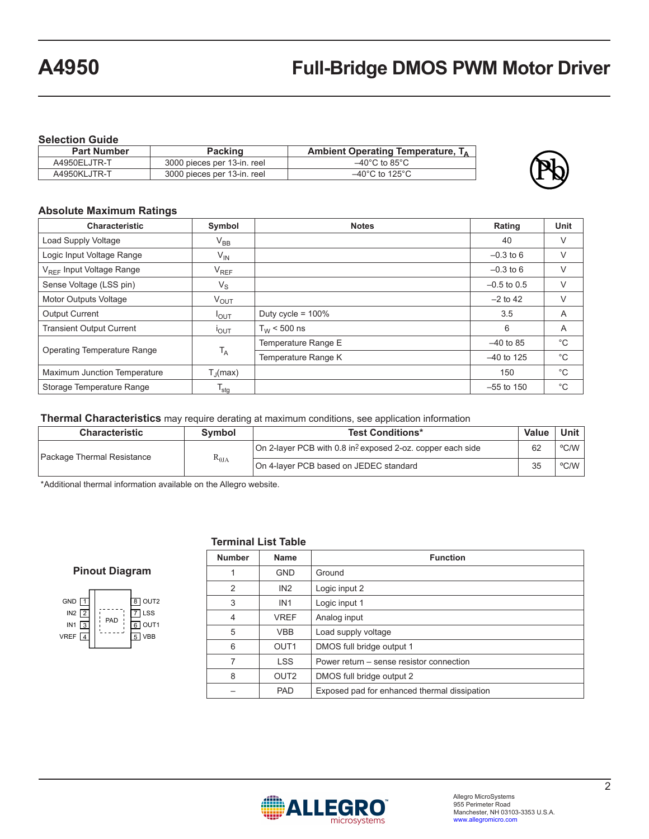**Selection Guide**

| <b>Part Number</b> | <b>Packing</b>              | Ambient Operating Temperature, $T_A$ |
|--------------------|-----------------------------|--------------------------------------|
| A4950ELJTR-T       | 3000 pieces per 13-in. reel | $-40^{\circ}$ C to 85 $^{\circ}$ C   |
| A4950KLJTR-T       | 3000 pieces per 13-in. reel | $-40^{\circ}$ C to 125 $^{\circ}$ C  |



### **Absolute Maximum Ratings**

| <b>Characteristic</b>                | Symbol                | <b>Notes</b>         | Rating        | <b>Unit</b>  |
|--------------------------------------|-----------------------|----------------------|---------------|--------------|
| Load Supply Voltage                  | $\rm V_{BB}$          |                      | 40            | V            |
| Logic Input Voltage Range            | $V_{\mathsf{IN}}$     |                      | $-0.3$ to 6   | V            |
| V <sub>REE</sub> Input Voltage Range | $V_{REF}$             |                      | $-0.3$ to 6   | V            |
| Sense Voltage (LSS pin)              | $V_{\rm S}$           |                      | $-0.5$ to 0.5 | $\vee$       |
| Motor Outputs Voltage                | $V_{OUT}$             |                      | $-2$ to 42    | $\vee$       |
| <b>Output Current</b>                | $I_{OUT}$             | Duty cycle = $100\%$ | 3.5           | A            |
| <b>Transient Output Current</b>      | <b>POUT</b>           | $T_{W}$ < 500 ns     | 6             | A            |
|                                      | $T_A$                 | Temperature Range E  | $-40$ to 85   | $^{\circ}C$  |
| Operating Temperature Range          |                       | Temperature Range K  | $-40$ to 125  | $^{\circ}$ C |
| Maximum Junction Temperature         | $T_{\parallel}$ (max) |                      | 150           | $^{\circ}C$  |
| Storage Temperature Range            | $T_{\text{stg}}$      |                      | $-55$ to 150  | $^{\circ}$ C |

#### **Thermal Characteristics** may require derating at maximum conditions, see application information

| <b>Characteristic</b>      | <b>Symbol</b>   | <b>Test Conditions*</b>                                                |    | Unit                  |
|----------------------------|-----------------|------------------------------------------------------------------------|----|-----------------------|
| Package Thermal Resistance |                 | On 2-layer PCB with 0.8 in <sup>2</sup> exposed 2-oz. copper each side | 62 | $^{\circ}$ C/W $\mid$ |
|                            | $R_{\theta JA}$ | On 4-layer PCB based on JEDEC standard                                 | 35 | °C/W                  |

\*Additional thermal information available on the Allegro website.

#### **Pinout Diagram**

| GND <sub>[1]</sub><br>$IN2$ 2<br>IN1 $\sqrt{3}$<br>VREF $4$ | PAD | $\overline{8}$ OUT2<br>LSS<br>OUT1<br>6 |
|-------------------------------------------------------------|-----|-----------------------------------------|
|                                                             |     |                                         |

#### **Terminal List Table**

| <b>Number</b>  | <b>Name</b>      | <b>Function</b>                              |
|----------------|------------------|----------------------------------------------|
| 1              | <b>GND</b>       | Ground                                       |
| $\overline{2}$ | IN2              | Logic input 2                                |
| 3              | IN <sub>1</sub>  | Logic input 1                                |
| 4              | <b>VREF</b>      | Analog input                                 |
| 5              | <b>VBB</b>       | Load supply voltage                          |
| 6              | OUT <sub>1</sub> | DMOS full bridge output 1                    |
| 7              | <b>LSS</b>       | Power return – sense resistor connection     |
| 8              | OUT <sub>2</sub> | DMOS full bridge output 2                    |
|                | <b>PAD</b>       | Exposed pad for enhanced thermal dissipation |

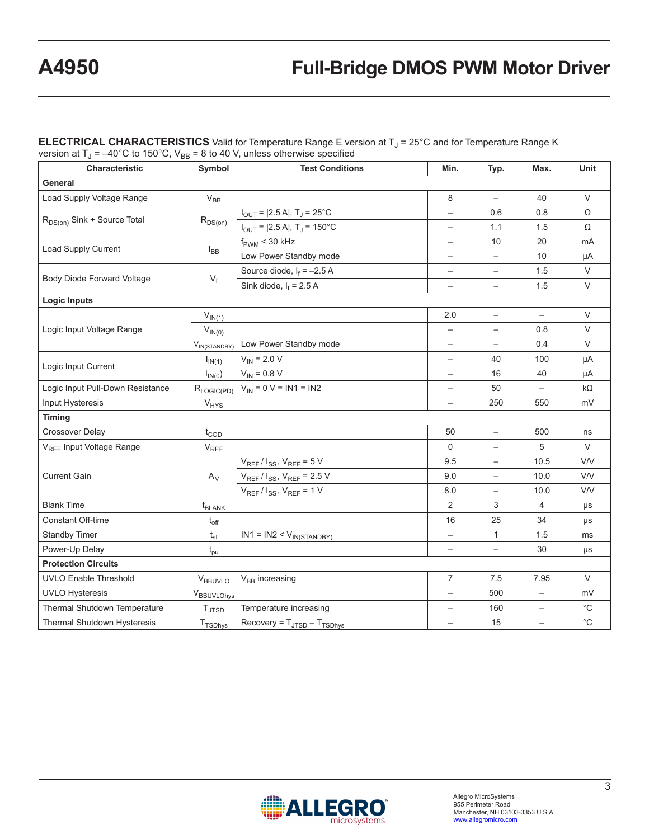$\sf{\bf \texttt{ELECTRICAL CHARACTERISTICS}}$  Valid for Temperature Range E version at T<sub>J</sub> = 25°C and for Temperature Range K version at T<sub>J</sub> = –40°C to 150°C, V<sub>BB</sub> = 8 to 40 V, unless otherwise specified

| Characteristic                          | Symbol                 | <b>Test Conditions</b>                         | Min.                     | Typ.                     | Max.                     | Unit              |  |
|-----------------------------------------|------------------------|------------------------------------------------|--------------------------|--------------------------|--------------------------|-------------------|--|
| General                                 |                        |                                                |                          |                          |                          |                   |  |
| Load Supply Voltage Range               | $V_{BB}$               |                                                | 8                        | $\overline{\phantom{m}}$ | 40                       | $\vee$            |  |
|                                         |                        | $I_{OUT}$ = [2.5 A], T <sub>J</sub> = 25°C     | $\qquad \qquad -$        | 0.6                      | 0.8                      | Ω                 |  |
| R <sub>DS(on)</sub> Sink + Source Total | $R_{DS(on)}$           | $I_{OUT}$ = $ 2.5 A $ , T <sub>J</sub> = 150°C |                          | 1.1                      | 1.5                      | Ω                 |  |
|                                         |                        | $f_{\rm PWM}$ < 30 kHz                         | $\qquad \qquad -$        | 10                       | 20                       | mA                |  |
| Load Supply Current                     | $I_{BB}$               | Low Power Standby mode                         | $\qquad \qquad -$        | $\overline{\phantom{0}}$ | 10                       | μA                |  |
|                                         |                        | Source diode, $I_f = -2.5 A$                   | $\overline{\phantom{m}}$ | $\overline{\phantom{m}}$ | 1.5                      | V                 |  |
| Body Diode Forward Voltage              | $V_f$                  | Sink diode, $I_f = 2.5 A$                      | $\qquad \qquad -$        | $\overline{\phantom{0}}$ | 1.5                      | $\vee$            |  |
| <b>Logic Inputs</b>                     |                        |                                                |                          |                          |                          |                   |  |
|                                         | $V_{IN(1)}$            |                                                | 2.0                      | $\overline{\phantom{0}}$ | $\overline{\phantom{0}}$ | $\vee$            |  |
| Logic Input Voltage Range               | $V_{IN(0)}$            |                                                |                          |                          | 0.8                      | $\vee$            |  |
|                                         | $V_{IN(STANDBY)}$      | Low Power Standby mode                         | $\overline{\phantom{0}}$ | $\overline{\phantom{m}}$ | 0.4                      | $\vee$            |  |
| Logic Input Current                     | $I_{IN(1)}$            | $V_{IN}$ = 2.0 V                               | $\qquad \qquad -$        | 40                       | 100                      | μA                |  |
|                                         | $I_{IN(0})$            | $V_{IN} = 0.8 V$                               |                          | 16                       | 40                       | μA                |  |
| Logic Input Pull-Down Resistance        | $R_{LOGIC(PD)}$        | $V_{IN} = 0 V = IN1 = IN2$                     | $\overline{\phantom{0}}$ | 50                       | $\overline{\phantom{m}}$ | $k\Omega$         |  |
| Input Hysteresis                        | V <sub>HYS</sub>       |                                                | $\overline{\phantom{0}}$ | 250                      | 550                      | mV                |  |
| Timing                                  |                        |                                                |                          |                          |                          |                   |  |
| <b>Crossover Delay</b>                  | $t_{\text{COD}}$       |                                                | 50                       | $\overline{\phantom{0}}$ | 500                      | ns                |  |
| V <sub>REF</sub> Input Voltage Range    | $V_{REE}$              |                                                | $\mathbf 0$              |                          | 5                        | $\vee$            |  |
|                                         |                        | $V_{REF}/I_{SS}$ , $V_{REF}$ = 5 V             | 9.5                      |                          | 10.5                     | <b>V/V</b>        |  |
| <b>Current Gain</b>                     | $A_V$                  | $V_{REF}$ / $I_{SS}$ , $V_{REF}$ = 2.5 V       | 9.0                      | $\overline{\phantom{0}}$ | 10.0                     | <b>V/V</b>        |  |
|                                         |                        | $V_{REF}/I_{SS}$ , $V_{REF}$ = 1 V             | 8.0                      | $\overline{\phantom{0}}$ | 10.0                     | <b>V/V</b>        |  |
| <b>Blank Time</b>                       | $t_{BLANK}$            |                                                | 2                        | 3                        | 4                        | $\mu s$           |  |
| <b>Constant Off-time</b>                | $t_{off}$              |                                                | 16                       | 25                       | 34                       | μs                |  |
| <b>Standby Timer</b>                    | $\rm t_{st}$           | $IN1 = IN2 < V_{IN(STANDBY)}$                  | $\qquad \qquad -$        | $\mathbf{1}$             | 1.5                      | ms                |  |
| Power-Up Delay                          | $t_{pu}$               |                                                | $\overline{\phantom{m}}$ |                          | 30                       | μs                |  |
| <b>Protection Circuits</b>              |                        |                                                |                          |                          |                          |                   |  |
| <b>UVLO Enable Threshold</b>            | $V_{BBUVLO}$           | $V_{BB}$ increasing                            | $\overline{7}$           | 7.5                      | 7.95                     | $\vee$            |  |
| <b>UVLO Hysteresis</b>                  | V <sub>BBUVLOhys</sub> |                                                |                          | 500                      |                          | mV                |  |
| Thermal Shutdown Temperature            | $T_{\text{JTSD}}$      | Temperature increasing                         | $\overline{\phantom{0}}$ | 160                      | $\qquad \qquad -$        | $^{\circ}C$       |  |
| Thermal Shutdown Hysteresis             | T <sub>TSDhys</sub>    | $Recovery = T_{JTSD} - T_{TSDhys}$             | $\overline{\phantom{m}}$ | 15                       | $\qquad \qquad -$        | $^{\circ}{\rm C}$ |  |

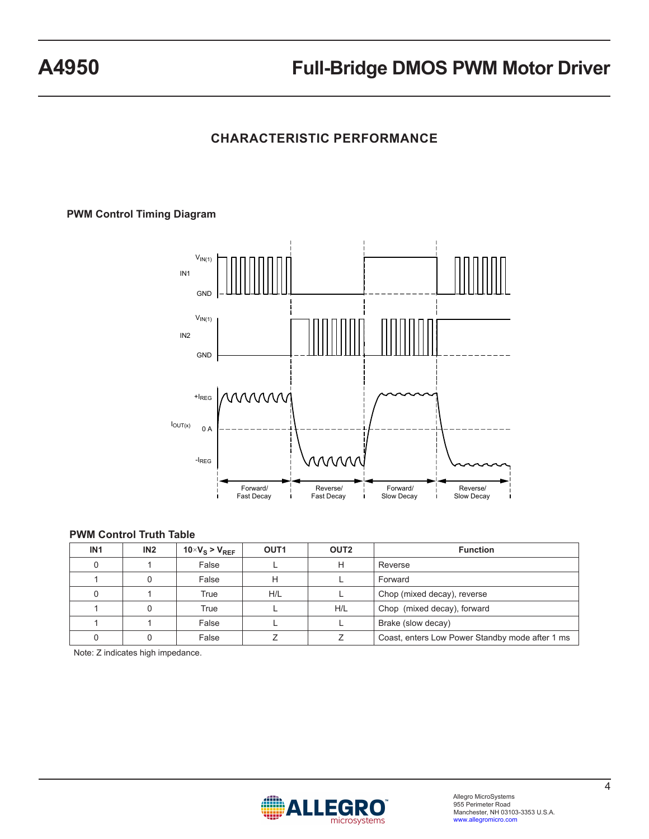# **CHARACTERISTIC PERFORMANCE**

### **PWM Control Timing Diagram**



### **PWM Control Truth Table**

| IN <sub>1</sub> | IN2 | $10 \times V_S > V_{REF}$ | OUT <sub>1</sub> | OUT <sub>2</sub> | <b>Function</b>                                 |
|-----------------|-----|---------------------------|------------------|------------------|-------------------------------------------------|
|                 |     | False                     |                  | н                | Reverse                                         |
|                 |     | False                     | н                |                  | Forward                                         |
|                 |     | True                      | H/L              |                  | Chop (mixed decay), reverse                     |
|                 |     | True                      |                  | H/L              | Chop (mixed decay), forward                     |
|                 |     | False                     |                  |                  | Brake (slow decay)                              |
|                 |     | False                     |                  |                  | Coast, enters Low Power Standby mode after 1 ms |

Note: Z indicates high impedance.

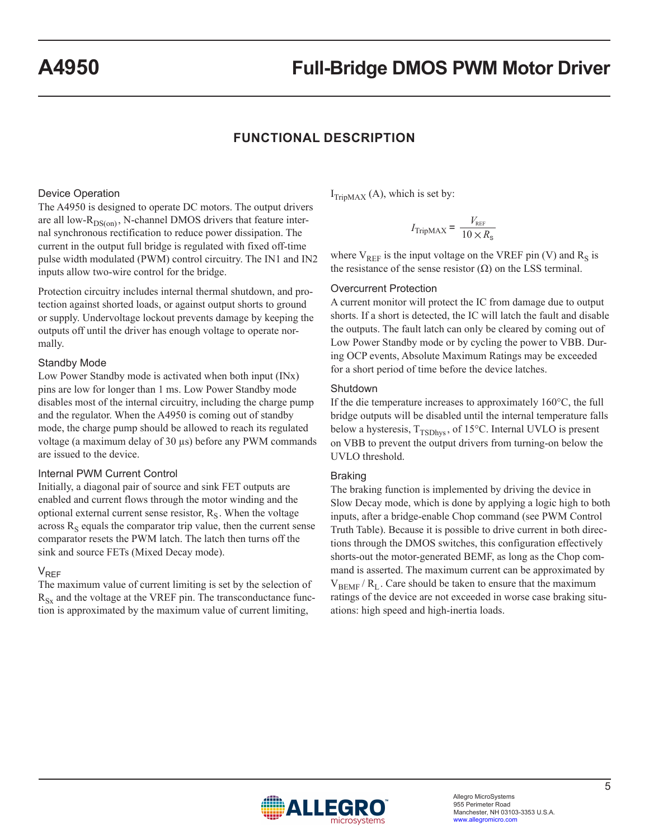### **FUNCTIONAL DESCRIPTION**

#### Device Operation

The A4950 is designed to operate DC motors. The output drivers are all low- $R_{DS(on)}$ , N-channel DMOS drivers that feature internal synchronous rectification to reduce power dissipation. The current in the output full bridge is regulated with fixed off-time pulse width modulated (PWM) control circuitry. The IN1 and IN2 inputs allow two-wire control for the bridge.

Protection circuitry includes internal thermal shutdown, and protection against shorted loads, or against output shorts to ground or supply. Undervoltage lockout prevents damage by keeping the outputs off until the driver has enough voltage to operate normally.

#### Standby Mode

Low Power Standby mode is activated when both input (INx) pins are low for longer than 1 ms. Low Power Standby mode disables most of the internal circuitry, including the charge pump and the regulator. When the A4950 is coming out of standby mode, the charge pump should be allowed to reach its regulated voltage (a maximum delay of 30 µs) before any PWM commands are issued to the device.

#### Internal PWM Current Control

Initially, a diagonal pair of source and sink FET outputs are enabled and current flows through the motor winding and the optional external current sense resistor,  $R<sub>S</sub>$ . When the voltage across  $R_S$  equals the comparator trip value, then the current sense comparator resets the PWM latch. The latch then turns off the sink and source FETs (Mixed Decay mode).

#### $V_{RFF}$

The maximum value of current limiting is set by the selection of  $R_{Sx}$  and the voltage at the VREF pin. The transconductance function is approximated by the maximum value of current limiting,

 $I_{TripMAX}$  (A), which is set by:

$$
I_{\text{TripMAX}} = \frac{V_{\text{REF}}}{10 \times R_{\text{s}}}
$$

where  $V_{REF}$  is the input voltage on the VREF pin (V) and  $R_S$  is the resistance of the sense resistor  $(\Omega)$  on the LSS terminal.

#### Overcurrent Protection

A current monitor will protect the IC from damage due to output shorts. If a short is detected, the IC will latch the fault and disable the outputs. The fault latch can only be cleared by coming out of Low Power Standby mode or by cycling the power to VBB. During OCP events, Absolute Maximum Ratings may be exceeded for a short period of time before the device latches.

#### Shutdown

If the die temperature increases to approximately 160°C, the full bridge outputs will be disabled until the internal temperature falls below a hysteresis,  $T_{TSDhvs}$ , of 15°C. Internal UVLO is present on VBB to prevent the output drivers from turning-on below the UVLO threshold.

#### Braking

The braking function is implemented by driving the device in Slow Decay mode, which is done by applying a logic high to both inputs, after a bridge-enable Chop command (see PWM Control Truth Table). Because it is possible to drive current in both directions through the DMOS switches, this configuration effectively shorts-out the motor-generated BEMF, as long as the Chop command is asserted. The maximum current can be approximated by  $V_{BEMF}$  /  $R_{L}$ . Care should be taken to ensure that the maximum ratings of the device are not exceeded in worse case braking situations: high speed and high-inertia loads.

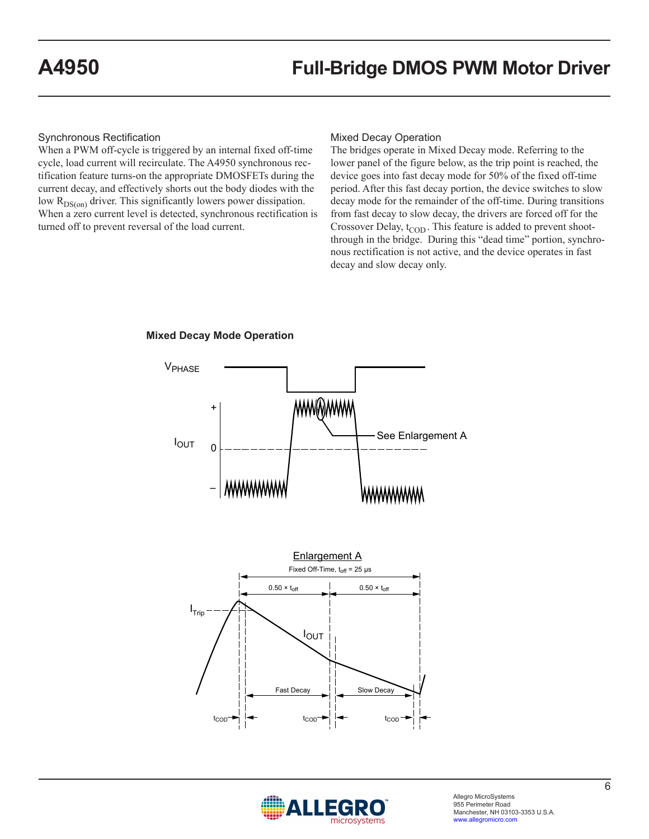Synchronous Rectification

When a PWM off-cycle is triggered by an internal fixed off-time cycle, load current will recirculate. The A4950 synchronous rectification feature turns-on the appropriate DMOSFETs during the current decay, and effectively shorts out the body diodes with the low  $R_{DS(on)}$  driver. This significantly lowers power dissipation. When a zero current level is detected, synchronous rectification is turned off to prevent reversal of the load current.

### Mixed Decay Operation

The bridges operate in Mixed Decay mode. Referring to the lower panel of the figure below, as the trip point is reached, the device goes into fast decay mode for 50% of the fixed off-time period. After this fast decay portion, the device switches to slow decay mode for the remainder of the off-time. During transitions from fast decay to slow decay, the drivers are forced off for the Crossover Delay,  $t_{\text{COD}}$ . This feature is added to prevent shootthrough in the bridge. During this "dead time" portion, synchronous rectification is not active, and the device operates in fast decay and slow decay only.



**Mixed Decay Mode Operation**

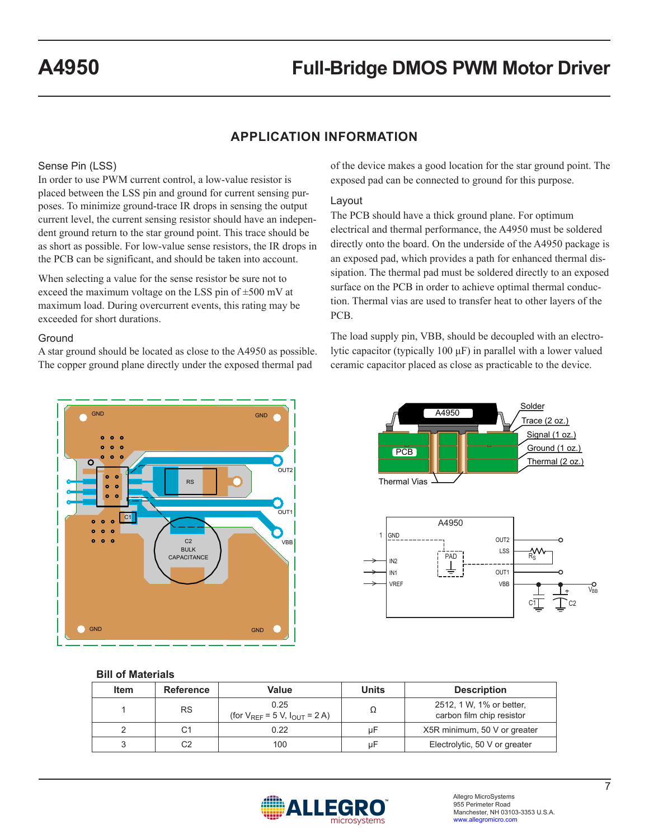### **APPLICATION INFORMATION**

#### Sense Pin (LSS)

In order to use PWM current control, a low-value resistor is placed between the LSS pin and ground for current sensing purposes. To minimize ground-trace IR drops in sensing the output current level, the current sensing resistor should have an independent ground return to the star ground point. This trace should be as short as possible. For low-value sense resistors, the IR drops in the PCB can be significant, and should be taken into account.

When selecting a value for the sense resistor be sure not to exceed the maximum voltage on the LSS pin of ±500 mV at maximum load. During overcurrent events, this rating may be exceeded for short durations.

#### **Ground**

A star ground should be located as close to the A4950 as possible. The copper ground plane directly under the exposed thermal pad



#### Layout

The PCB should have a thick ground plane. For optimum electrical and thermal performance, the A4950 must be soldered directly onto the board. On the underside of the A4950 package is an exposed pad, which provides a path for enhanced thermal dissipation. The thermal pad must be soldered directly to an exposed surface on the PCB in order to achieve optimal thermal conduction. Thermal vias are used to transfer heat to other layers of the PCB.

The load supply pin, VBB, should be decoupled with an electrolytic capacitor (typically 100 μF) in parallel with a lower valued ceramic capacitor placed as close as practicable to the device.



#### V<sub>BB</sub> 1 PAD A4950 OUT2 LSS OUT<sub>1</sub> VBB IN2 IN1 VREF GND  $R_S^{\rm O}$ PCB Thermal Vias Trace (2 oz.) Signal (1 oz.) Ground (1 oz.) Thermal (2 oz.) A4950

#### **Bill of Materials**

| <b>Item</b> | <b>Reference</b> | Value                                            | <b>Units</b> | <b>Description</b>                                    |
|-------------|------------------|--------------------------------------------------|--------------|-------------------------------------------------------|
|             | <b>RS</b>        | 0.25<br>(for $V_{REF} = 5 V$ , $I_{OUT} = 2 A$ ) |              | 2512, 1 W, 1% or better,<br>carbon film chip resistor |
|             |                  | 0.22                                             | иF           | X5R minimum, 50 V or greater                          |
|             | C2               | 100                                              | uЕ           | Electrolytic, 50 V or greater                         |



 $C1$   $C2$ 

Solder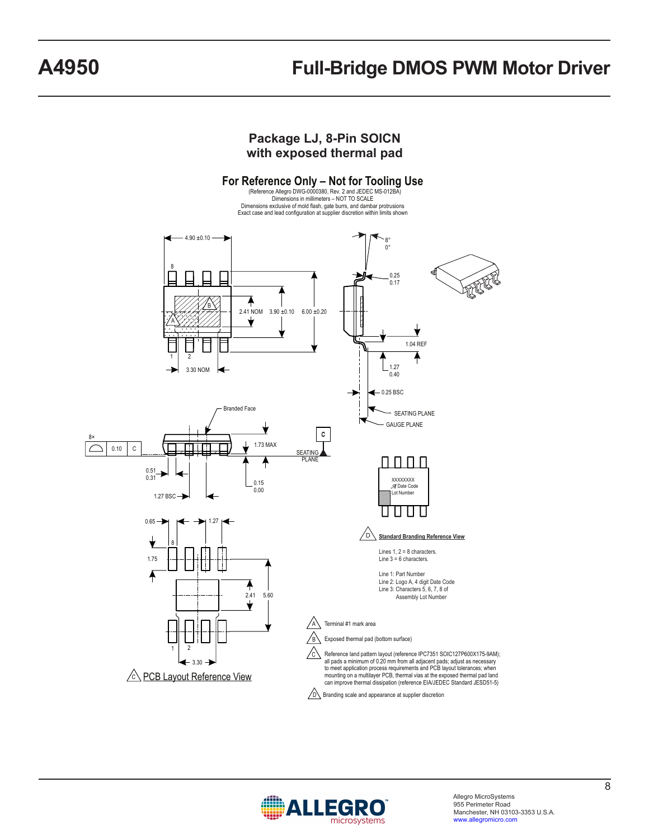### **Package LJ, 8-Pin SOICN with exposed thermal pad**